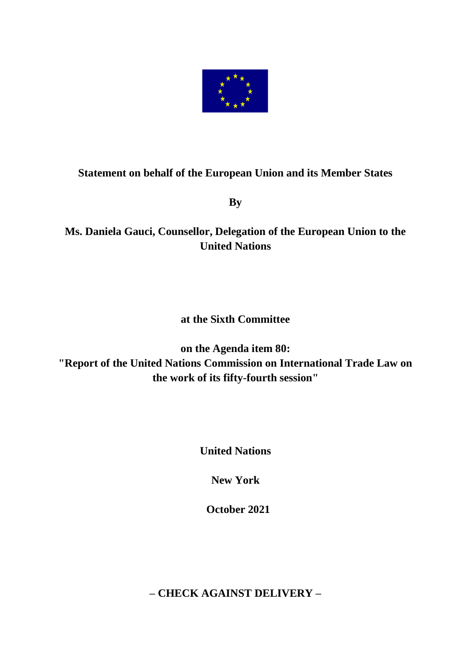

## **Statement on behalf of the European Union and its Member States**

**By** 

## **Ms. Daniela Gauci, Counsellor, Delegation of the European Union to the United Nations**

## **at the Sixth Committee**

**on the Agenda item 80: "Report of the United Nations Commission on International Trade Law on the work of its fifty-fourth session"**

**United Nations**

**New York**

 **October 2021**

**– CHECK AGAINST DELIVERY –**